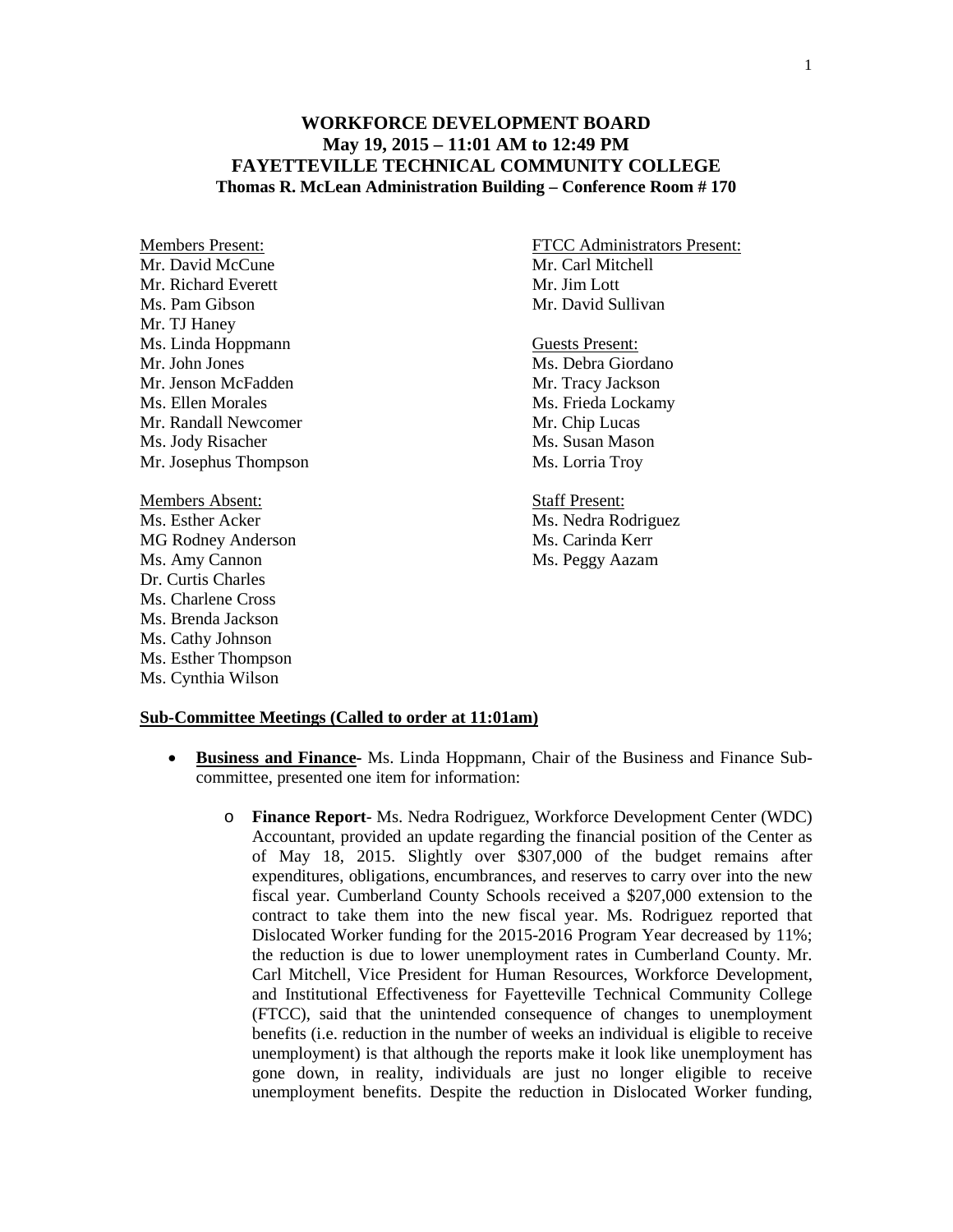## **WORKFORCE DEVELOPMENT BOARD May 19, 2015 – 11:01 AM to 12:49 PM FAYETTEVILLE TECHNICAL COMMUNITY COLLEGE Thomas R. McLean Administration Building – Conference Room # 170**

Mr. David McCune Mr. Carl Mitchell Mr. Richard Everett Mr. Jim Lott Ms. Pam Gibson Mr. David Sullivan Mr. TJ Haney Ms. Linda Hoppmann Guests Present: Mr. John Jones Ms. Debra Giordano Mr. Jenson McFadden Mr. Tracy Jackson Ms. Ellen Morales Ms. Frieda Lockamy Mr. Randall Newcomer Mr. Chip Lucas Ms. Jody Risacher Ms. Susan Mason Mr. Josephus Thompson Ms. Lorria Troy Members Absent: Staff Present: Ms. Esther Acker Ms. Nedra Rodriguez MG Rodney Anderson Ms. Carinda Kerr Ms. Amy Cannon Ms. Peggy Aazam Dr. Curtis Charles Ms. Charlene Cross Ms. Brenda Jackson Ms. Cathy Johnson

Ms. Esther Thompson Ms. Cynthia Wilson

Members Present: FTCC Administrators Present:

## **Sub-Committee Meetings (Called to order at 11:01am)**

- **Business and Finance-** Ms. Linda Hoppmann, Chair of the Business and Finance Subcommittee, presented one item for information:
	- o **Finance Report** Ms. Nedra Rodriguez, Workforce Development Center (WDC) Accountant, provided an update regarding the financial position of the Center as of May 18, 2015. Slightly over \$307,000 of the budget remains after expenditures, obligations, encumbrances, and reserves to carry over into the new fiscal year. Cumberland County Schools received a \$207,000 extension to the contract to take them into the new fiscal year. Ms. Rodriguez reported that Dislocated Worker funding for the 2015-2016 Program Year decreased by 11%; the reduction is due to lower unemployment rates in Cumberland County. Mr. Carl Mitchell, Vice President for Human Resources, Workforce Development, and Institutional Effectiveness for Fayetteville Technical Community College (FTCC), said that the unintended consequence of changes to unemployment benefits (i.e. reduction in the number of weeks an individual is eligible to receive unemployment) is that although the reports make it look like unemployment has gone down, in reality, individuals are just no longer eligible to receive unemployment benefits. Despite the reduction in Dislocated Worker funding,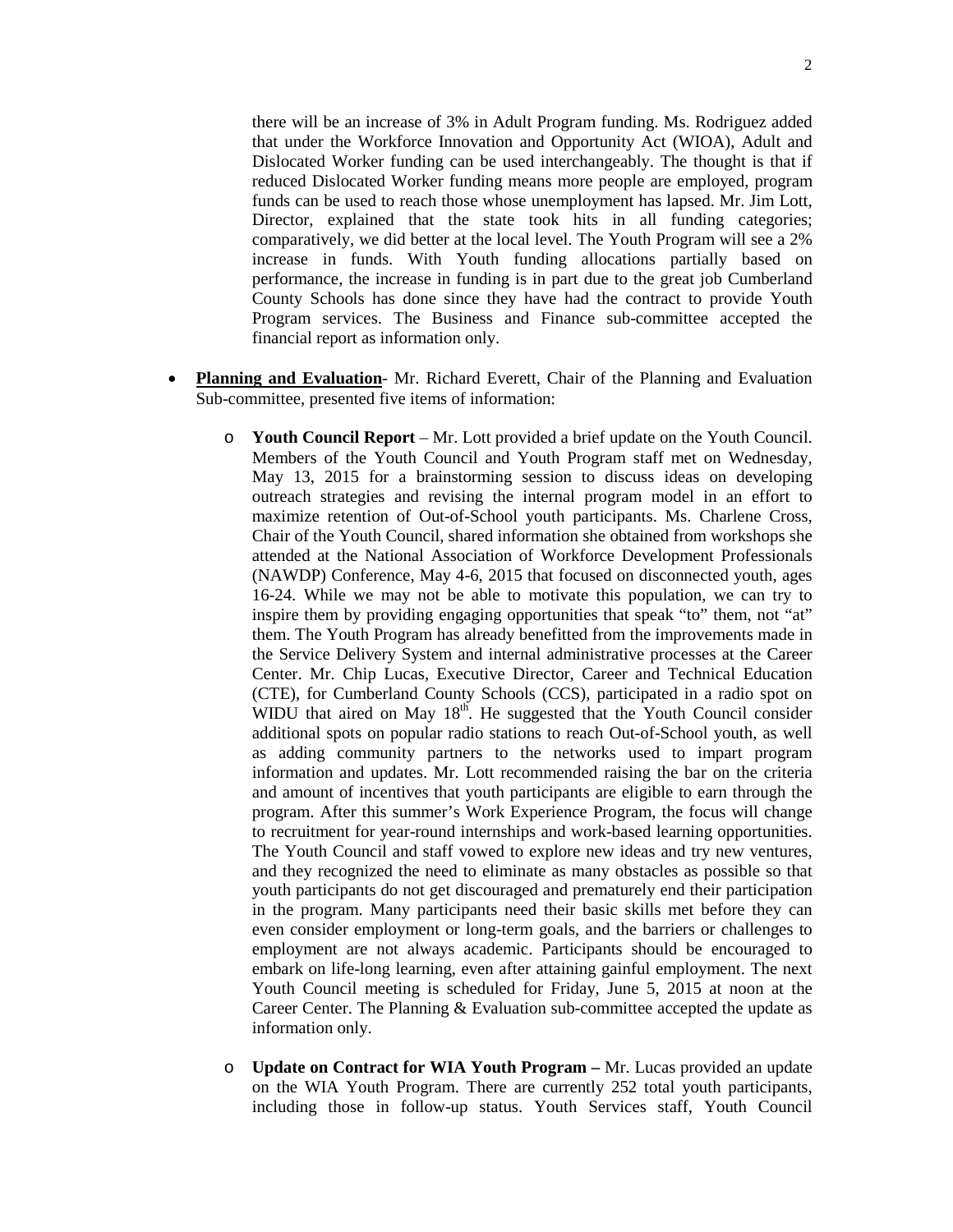there will be an increase of 3% in Adult Program funding. Ms. Rodriguez added that under the Workforce Innovation and Opportunity Act (WIOA), Adult and Dislocated Worker funding can be used interchangeably. The thought is that if reduced Dislocated Worker funding means more people are employed, program funds can be used to reach those whose unemployment has lapsed. Mr. Jim Lott, Director, explained that the state took hits in all funding categories; comparatively, we did better at the local level. The Youth Program will see a 2% increase in funds. With Youth funding allocations partially based on performance, the increase in funding is in part due to the great job Cumberland County Schools has done since they have had the contract to provide Youth Program services. The Business and Finance sub-committee accepted the financial report as information only.

- **Planning and Evaluation** Mr. Richard Everett, Chair of the Planning and Evaluation Sub-committee, presented five items of information:
	- o **Youth Council Report**  Mr. Lott provided a brief update on the Youth Council. Members of the Youth Council and Youth Program staff met on Wednesday, May 13, 2015 for a brainstorming session to discuss ideas on developing outreach strategies and revising the internal program model in an effort to maximize retention of Out-of-School youth participants. Ms. Charlene Cross, Chair of the Youth Council, shared information she obtained from workshops she attended at the National Association of Workforce Development Professionals (NAWDP) Conference, May 4-6, 2015 that focused on disconnected youth, ages 16-24. While we may not be able to motivate this population, we can try to inspire them by providing engaging opportunities that speak "to" them, not "at" them. The Youth Program has already benefitted from the improvements made in the Service Delivery System and internal administrative processes at the Career Center. Mr. Chip Lucas, Executive Director, Career and Technical Education (CTE), for Cumberland County Schools (CCS), participated in a radio spot on WIDU that aired on May  $18<sup>th</sup>$ . He suggested that the Youth Council consider additional spots on popular radio stations to reach Out-of-School youth, as well as adding community partners to the networks used to impart program information and updates. Mr. Lott recommended raising the bar on the criteria and amount of incentives that youth participants are eligible to earn through the program. After this summer's Work Experience Program, the focus will change to recruitment for year-round internships and work-based learning opportunities. The Youth Council and staff vowed to explore new ideas and try new ventures, and they recognized the need to eliminate as many obstacles as possible so that youth participants do not get discouraged and prematurely end their participation in the program. Many participants need their basic skills met before they can even consider employment or long-term goals, and the barriers or challenges to employment are not always academic. Participants should be encouraged to embark on life-long learning, even after attaining gainful employment. The next Youth Council meeting is scheduled for Friday, June 5, 2015 at noon at the Career Center. The Planning & Evaluation sub-committee accepted the update as information only.
	- o **Update on Contract for WIA Youth Program –** Mr. Lucas provided an update on the WIA Youth Program. There are currently 252 total youth participants, including those in follow-up status. Youth Services staff, Youth Council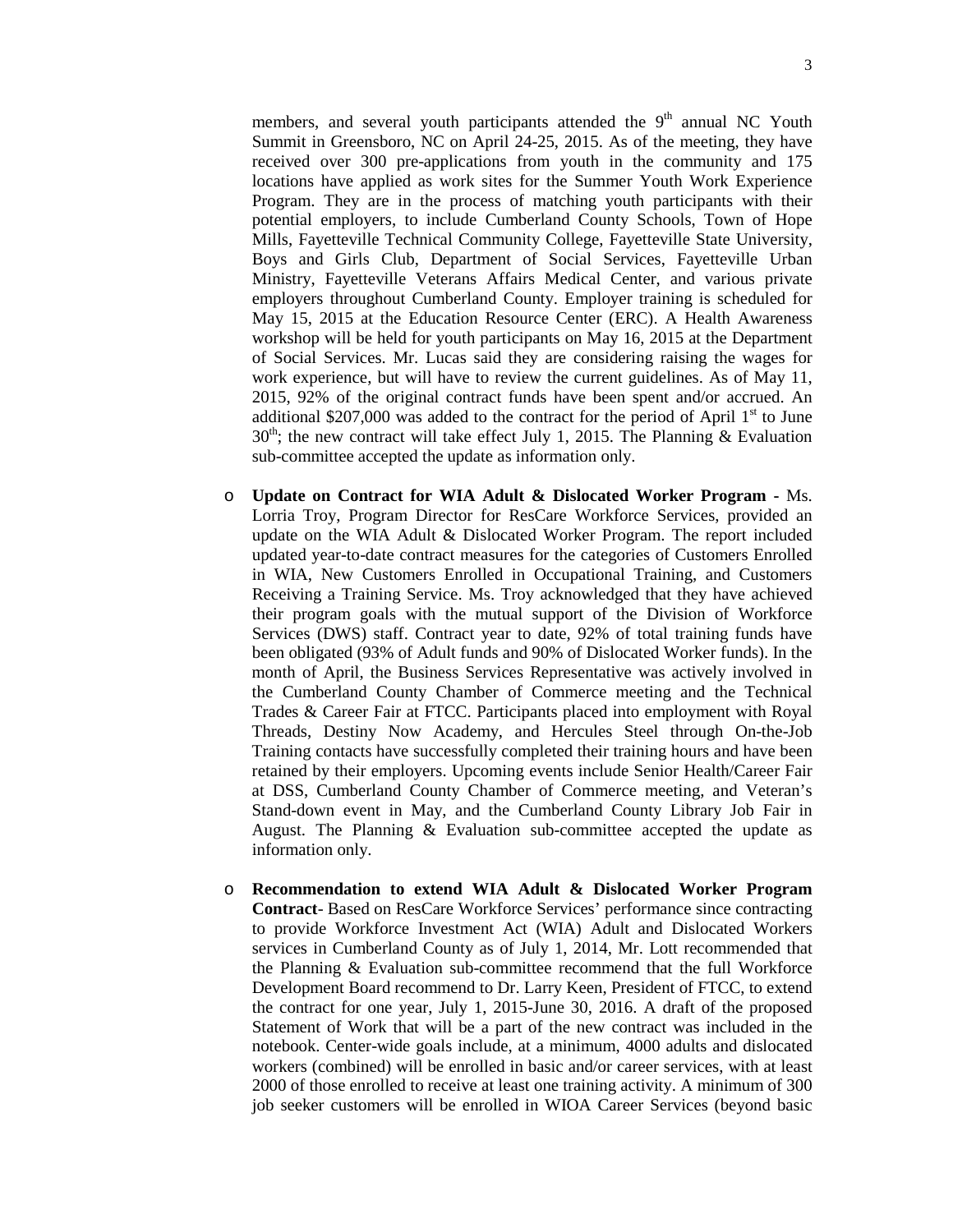members, and several youth participants attended the  $9<sup>th</sup>$  annual NC Youth Summit in Greensboro, NC on April 24-25, 2015. As of the meeting, they have received over 300 pre-applications from youth in the community and 175 locations have applied as work sites for the Summer Youth Work Experience Program. They are in the process of matching youth participants with their potential employers, to include Cumberland County Schools, Town of Hope Mills, Fayetteville Technical Community College, Fayetteville State University, Boys and Girls Club, Department of Social Services, Fayetteville Urban Ministry, Fayetteville Veterans Affairs Medical Center, and various private employers throughout Cumberland County. Employer training is scheduled for May 15, 2015 at the Education Resource Center (ERC). A Health Awareness workshop will be held for youth participants on May 16, 2015 at the Department of Social Services. Mr. Lucas said they are considering raising the wages for work experience, but will have to review the current guidelines. As of May 11, 2015, 92% of the original contract funds have been spent and/or accrued. An additional \$207,000 was added to the contract for the period of April  $1<sup>st</sup>$  to June  $30<sup>th</sup>$ ; the new contract will take effect July 1, 2015. The Planning & Evaluation sub-committee accepted the update as information only.

- o **Update on Contract for WIA Adult & Dislocated Worker Program -** Ms. Lorria Troy, Program Director for ResCare Workforce Services, provided an update on the WIA Adult & Dislocated Worker Program. The report included updated year-to-date contract measures for the categories of Customers Enrolled in WIA, New Customers Enrolled in Occupational Training, and Customers Receiving a Training Service. Ms. Troy acknowledged that they have achieved their program goals with the mutual support of the Division of Workforce Services (DWS) staff. Contract year to date, 92% of total training funds have been obligated (93% of Adult funds and 90% of Dislocated Worker funds). In the month of April, the Business Services Representative was actively involved in the Cumberland County Chamber of Commerce meeting and the Technical Trades & Career Fair at FTCC. Participants placed into employment with Royal Threads, Destiny Now Academy, and Hercules Steel through On-the-Job Training contacts have successfully completed their training hours and have been retained by their employers. Upcoming events include Senior Health/Career Fair at DSS, Cumberland County Chamber of Commerce meeting, and Veteran's Stand-down event in May, and the Cumberland County Library Job Fair in August. The Planning & Evaluation sub-committee accepted the update as information only.
- o **Recommendation to extend WIA Adult & Dislocated Worker Program Contract**- Based on ResCare Workforce Services' performance since contracting to provide Workforce Investment Act (WIA) Adult and Dislocated Workers services in Cumberland County as of July 1, 2014, Mr. Lott recommended that the Planning & Evaluation sub-committee recommend that the full Workforce Development Board recommend to Dr. Larry Keen, President of FTCC, to extend the contract for one year, July 1, 2015-June 30, 2016. A draft of the proposed Statement of Work that will be a part of the new contract was included in the notebook. Center-wide goals include, at a minimum, 4000 adults and dislocated workers (combined) will be enrolled in basic and/or career services, with at least 2000 of those enrolled to receive at least one training activity. A minimum of 300 job seeker customers will be enrolled in WIOA Career Services (beyond basic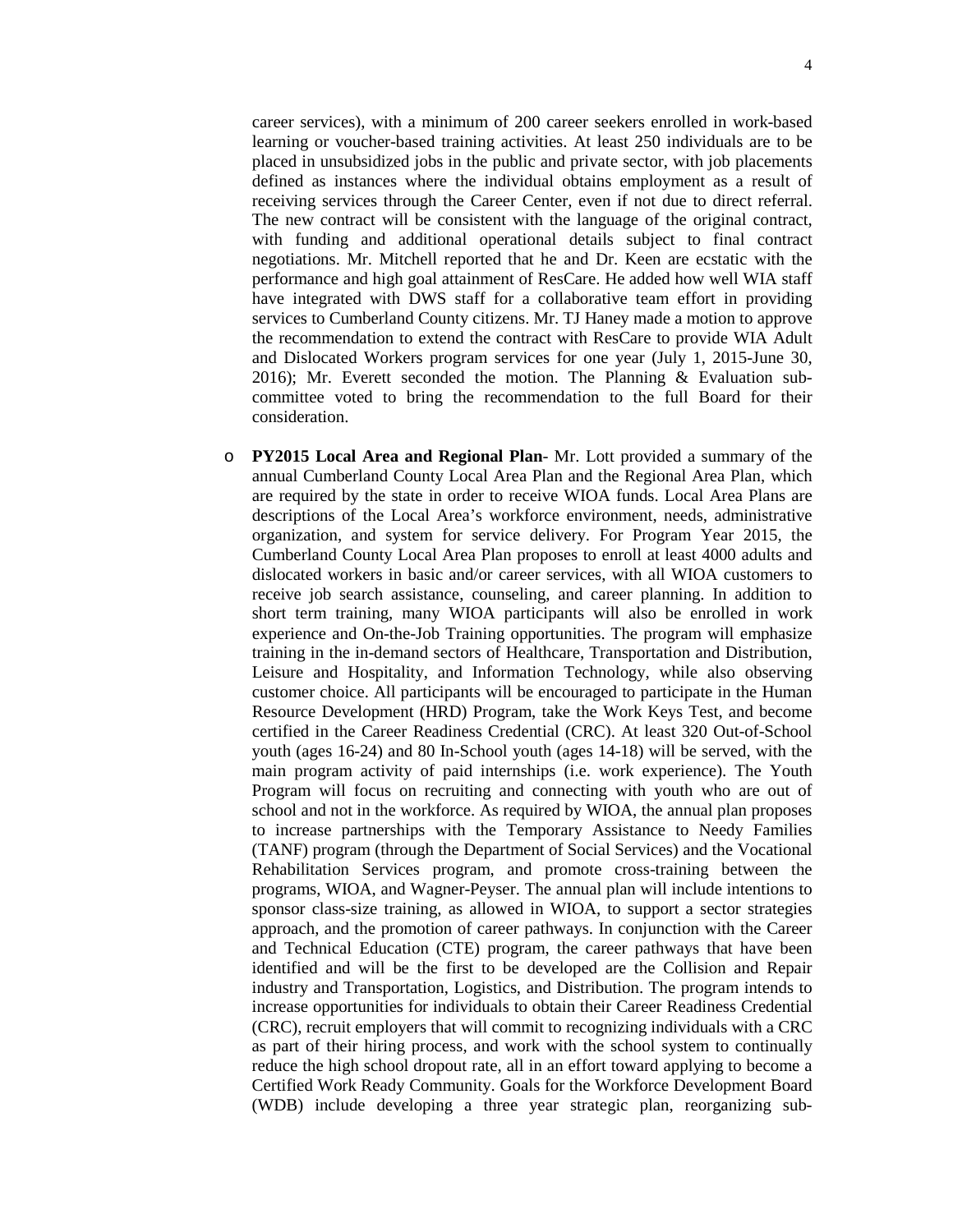career services), with a minimum of 200 career seekers enrolled in work-based learning or voucher-based training activities. At least 250 individuals are to be placed in unsubsidized jobs in the public and private sector, with job placements defined as instances where the individual obtains employment as a result of receiving services through the Career Center, even if not due to direct referral. The new contract will be consistent with the language of the original contract, with funding and additional operational details subject to final contract negotiations. Mr. Mitchell reported that he and Dr. Keen are ecstatic with the performance and high goal attainment of ResCare. He added how well WIA staff have integrated with DWS staff for a collaborative team effort in providing services to Cumberland County citizens. Mr. TJ Haney made a motion to approve the recommendation to extend the contract with ResCare to provide WIA Adult and Dislocated Workers program services for one year (July 1, 2015-June 30, 2016); Mr. Everett seconded the motion. The Planning & Evaluation subcommittee voted to bring the recommendation to the full Board for their consideration.

o **PY2015 Local Area and Regional Plan**- Mr. Lott provided a summary of the annual Cumberland County Local Area Plan and the Regional Area Plan, which are required by the state in order to receive WIOA funds. Local Area Plans are descriptions of the Local Area's workforce environment, needs, administrative organization, and system for service delivery. For Program Year 2015, the Cumberland County Local Area Plan proposes to enroll at least 4000 adults and dislocated workers in basic and/or career services, with all WIOA customers to receive job search assistance, counseling, and career planning. In addition to short term training, many WIOA participants will also be enrolled in work experience and On-the-Job Training opportunities. The program will emphasize training in the in-demand sectors of Healthcare, Transportation and Distribution, Leisure and Hospitality, and Information Technology, while also observing customer choice. All participants will be encouraged to participate in the Human Resource Development (HRD) Program, take the Work Keys Test, and become certified in the Career Readiness Credential (CRC). At least 320 Out-of-School youth (ages 16-24) and 80 In-School youth (ages 14-18) will be served, with the main program activity of paid internships (i.e. work experience). The Youth Program will focus on recruiting and connecting with youth who are out of school and not in the workforce. As required by WIOA, the annual plan proposes to increase partnerships with the Temporary Assistance to Needy Families (TANF) program (through the Department of Social Services) and the Vocational Rehabilitation Services program, and promote cross-training between the programs, WIOA, and Wagner-Peyser. The annual plan will include intentions to sponsor class-size training, as allowed in WIOA, to support a sector strategies approach, and the promotion of career pathways. In conjunction with the Career and Technical Education (CTE) program, the career pathways that have been identified and will be the first to be developed are the Collision and Repair industry and Transportation, Logistics, and Distribution. The program intends to increase opportunities for individuals to obtain their Career Readiness Credential (CRC), recruit employers that will commit to recognizing individuals with a CRC as part of their hiring process, and work with the school system to continually reduce the high school dropout rate, all in an effort toward applying to become a Certified Work Ready Community. Goals for the Workforce Development Board (WDB) include developing a three year strategic plan, reorganizing sub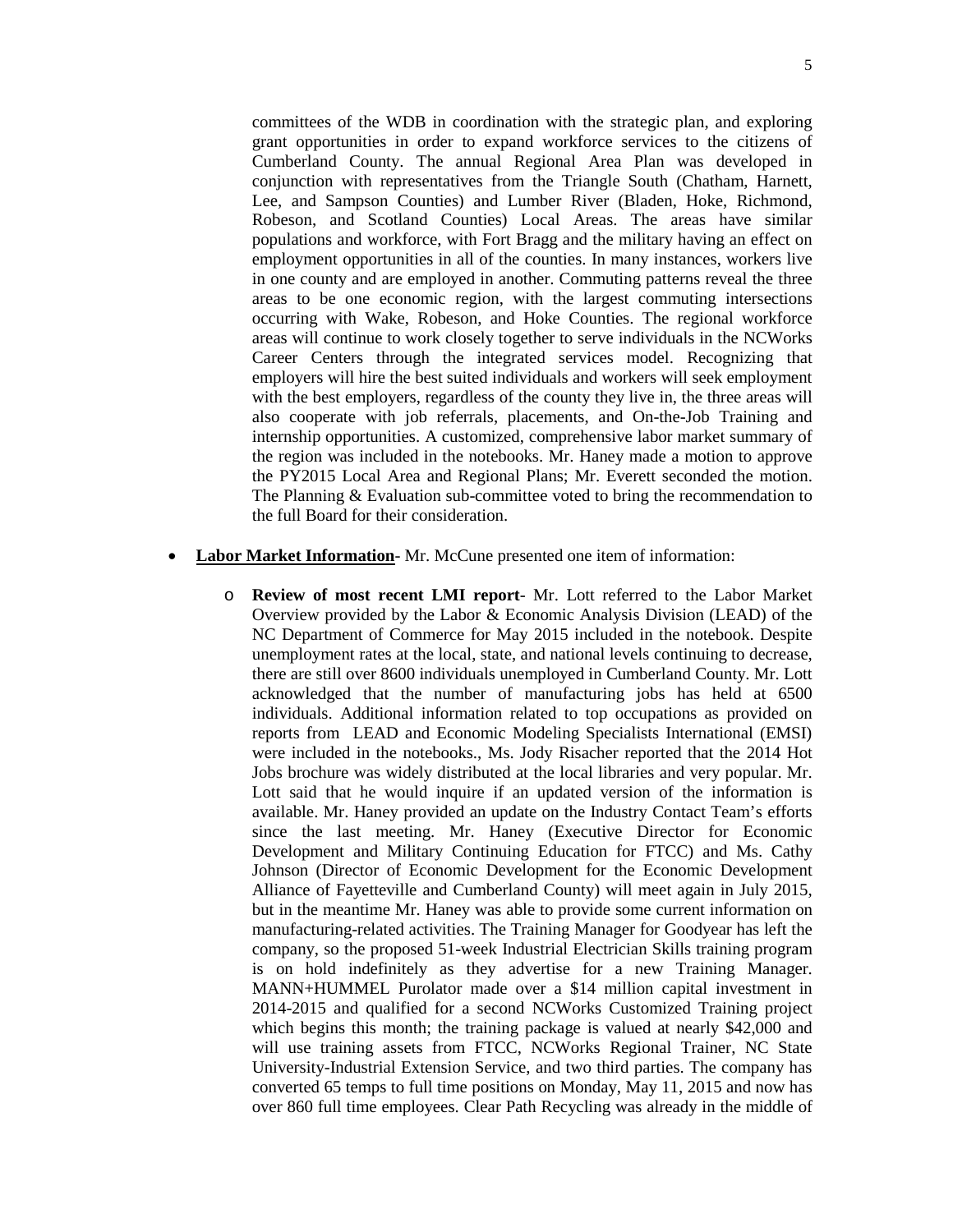committees of the WDB in coordination with the strategic plan, and exploring grant opportunities in order to expand workforce services to the citizens of Cumberland County. The annual Regional Area Plan was developed in conjunction with representatives from the Triangle South (Chatham, Harnett, Lee, and Sampson Counties) and Lumber River (Bladen, Hoke, Richmond, Robeson, and Scotland Counties) Local Areas. The areas have similar populations and workforce, with Fort Bragg and the military having an effect on employment opportunities in all of the counties. In many instances, workers live in one county and are employed in another. Commuting patterns reveal the three areas to be one economic region, with the largest commuting intersections occurring with Wake, Robeson, and Hoke Counties. The regional workforce areas will continue to work closely together to serve individuals in the NCWorks Career Centers through the integrated services model. Recognizing that employers will hire the best suited individuals and workers will seek employment with the best employers, regardless of the county they live in, the three areas will also cooperate with job referrals, placements, and On-the-Job Training and internship opportunities. A customized, comprehensive labor market summary of the region was included in the notebooks. Mr. Haney made a motion to approve the PY2015 Local Area and Regional Plans; Mr. Everett seconded the motion. The Planning & Evaluation sub-committee voted to bring the recommendation to the full Board for their consideration.

- **Labor Market Information** Mr. McCune presented one item of information:
	- o **Review of most recent LMI report** Mr. Lott referred to the Labor Market Overview provided by the Labor & Economic Analysis Division (LEAD) of the NC Department of Commerce for May 2015 included in the notebook. Despite unemployment rates at the local, state, and national levels continuing to decrease, there are still over 8600 individuals unemployed in Cumberland County. Mr. Lott acknowledged that the number of manufacturing jobs has held at 6500 individuals. Additional information related to top occupations as provided on reports from LEAD and Economic Modeling Specialists International (EMSI) were included in the notebooks., Ms. Jody Risacher reported that the 2014 Hot Jobs brochure was widely distributed at the local libraries and very popular. Mr. Lott said that he would inquire if an updated version of the information is available. Mr. Haney provided an update on the Industry Contact Team's efforts since the last meeting. Mr. Haney (Executive Director for Economic Development and Military Continuing Education for FTCC) and Ms. Cathy Johnson (Director of Economic Development for the Economic Development Alliance of Fayetteville and Cumberland County) will meet again in July 2015, but in the meantime Mr. Haney was able to provide some current information on manufacturing-related activities. The Training Manager for Goodyear has left the company, so the proposed 51-week Industrial Electrician Skills training program is on hold indefinitely as they advertise for a new Training Manager. MANN+HUMMEL Purolator made over a \$14 million capital investment in 2014-2015 and qualified for a second NCWorks Customized Training project which begins this month; the training package is valued at nearly \$42,000 and will use training assets from FTCC, NCWorks Regional Trainer, NC State University-Industrial Extension Service, and two third parties. The company has converted 65 temps to full time positions on Monday, May 11, 2015 and now has over 860 full time employees. Clear Path Recycling was already in the middle of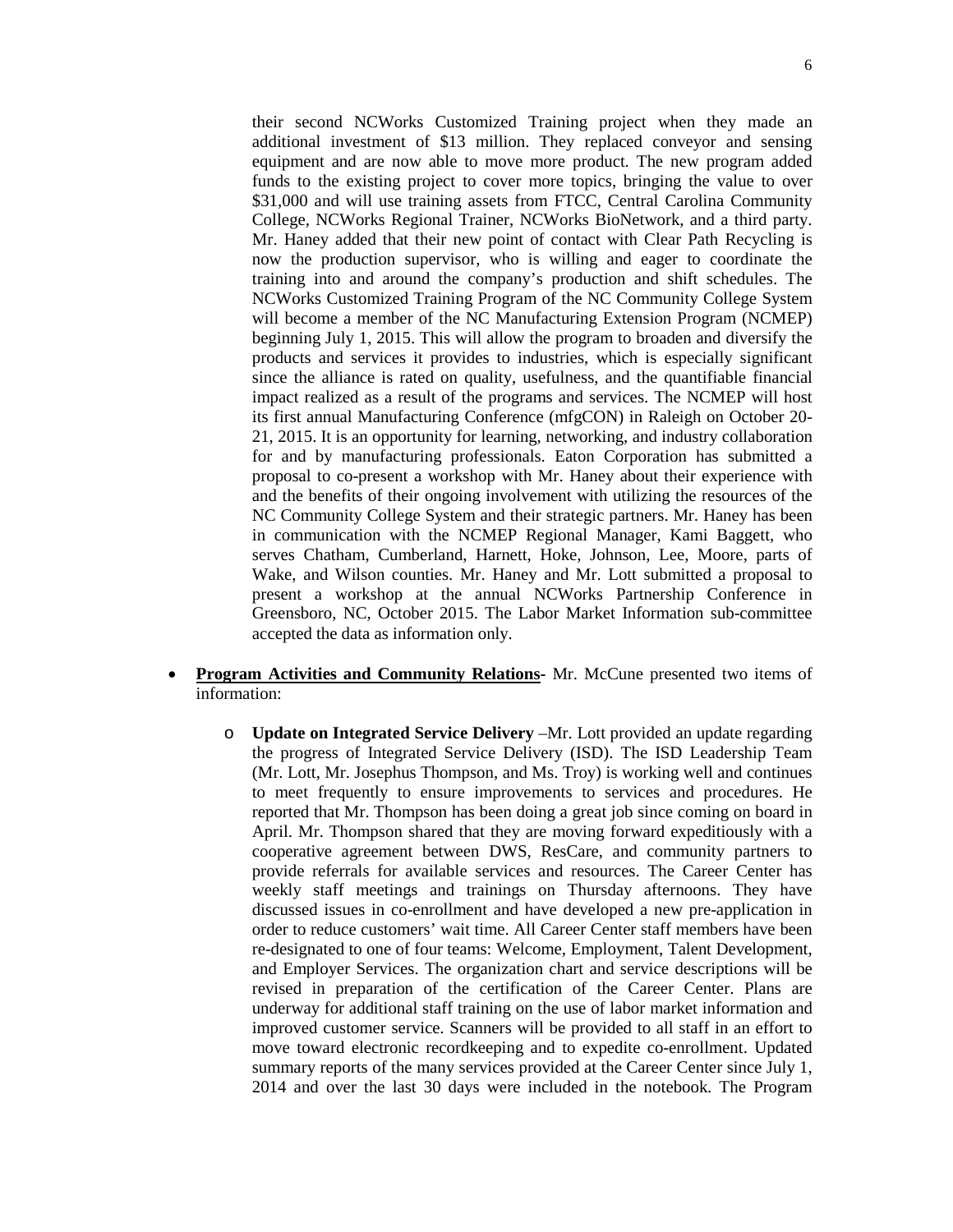their second NCWorks Customized Training project when they made an additional investment of \$13 million. They replaced conveyor and sensing equipment and are now able to move more product. The new program added funds to the existing project to cover more topics, bringing the value to over \$31,000 and will use training assets from FTCC, Central Carolina Community College, NCWorks Regional Trainer, NCWorks BioNetwork, and a third party. Mr. Haney added that their new point of contact with Clear Path Recycling is now the production supervisor, who is willing and eager to coordinate the training into and around the company's production and shift schedules. The NCWorks Customized Training Program of the NC Community College System will become a member of the NC Manufacturing Extension Program (NCMEP) beginning July 1, 2015. This will allow the program to broaden and diversify the products and services it provides to industries, which is especially significant since the alliance is rated on quality, usefulness, and the quantifiable financial impact realized as a result of the programs and services. The NCMEP will host its first annual Manufacturing Conference (mfgCON) in Raleigh on October 20- 21, 2015. It is an opportunity for learning, networking, and industry collaboration for and by manufacturing professionals. Eaton Corporation has submitted a proposal to co-present a workshop with Mr. Haney about their experience with and the benefits of their ongoing involvement with utilizing the resources of the NC Community College System and their strategic partners. Mr. Haney has been in communication with the NCMEP Regional Manager, Kami Baggett, who serves Chatham, Cumberland, Harnett, Hoke, Johnson, Lee, Moore, parts of Wake, and Wilson counties. Mr. Haney and Mr. Lott submitted a proposal to present a workshop at the annual NCWorks Partnership Conference in Greensboro, NC, October 2015. The Labor Market Information sub-committee accepted the data as information only.

- **Program Activities and Community Relations-** Mr. McCune presented two items of information:
	- o **Update on Integrated Service Delivery** –Mr. Lott provided an update regarding the progress of Integrated Service Delivery (ISD). The ISD Leadership Team (Mr. Lott, Mr. Josephus Thompson, and Ms. Troy) is working well and continues to meet frequently to ensure improvements to services and procedures. He reported that Mr. Thompson has been doing a great job since coming on board in April. Mr. Thompson shared that they are moving forward expeditiously with a cooperative agreement between DWS, ResCare, and community partners to provide referrals for available services and resources. The Career Center has weekly staff meetings and trainings on Thursday afternoons. They have discussed issues in co-enrollment and have developed a new pre-application in order to reduce customers' wait time. All Career Center staff members have been re-designated to one of four teams: Welcome, Employment, Talent Development, and Employer Services. The organization chart and service descriptions will be revised in preparation of the certification of the Career Center. Plans are underway for additional staff training on the use of labor market information and improved customer service. Scanners will be provided to all staff in an effort to move toward electronic recordkeeping and to expedite co-enrollment. Updated summary reports of the many services provided at the Career Center since July 1, 2014 and over the last 30 days were included in the notebook. The Program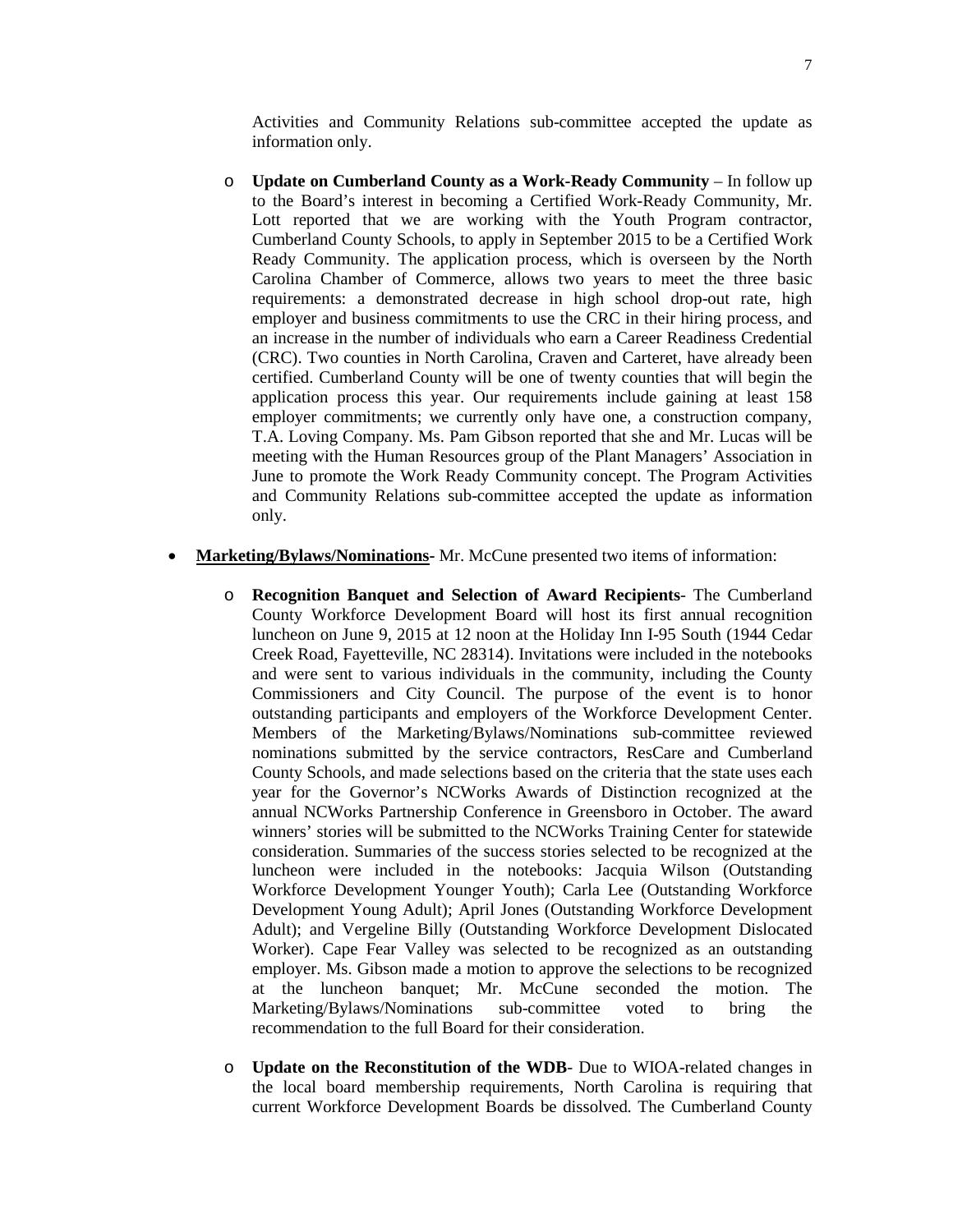Activities and Community Relations sub-committee accepted the update as information only.

- o **Update on Cumberland County as a Work-Ready Community** In follow up to the Board's interest in becoming a Certified Work-Ready Community, Mr. Lott reported that we are working with the Youth Program contractor, Cumberland County Schools, to apply in September 2015 to be a Certified Work Ready Community. The application process, which is overseen by the North Carolina Chamber of Commerce, allows two years to meet the three basic requirements: a demonstrated decrease in high school drop-out rate, high employer and business commitments to use the CRC in their hiring process, and an increase in the number of individuals who earn a Career Readiness Credential (CRC). Two counties in North Carolina, Craven and Carteret, have already been certified. Cumberland County will be one of twenty counties that will begin the application process this year. Our requirements include gaining at least 158 employer commitments; we currently only have one, a construction company, T.A. Loving Company. Ms. Pam Gibson reported that she and Mr. Lucas will be meeting with the Human Resources group of the Plant Managers' Association in June to promote the Work Ready Community concept. The Program Activities and Community Relations sub-committee accepted the update as information only.
- **Marketing/Bylaws/Nominations-** Mr. McCune presented two items of information:
	- o **Recognition Banquet and Selection of Award Recipients** The Cumberland County Workforce Development Board will host its first annual recognition luncheon on June 9, 2015 at 12 noon at the Holiday Inn I-95 South (1944 Cedar Creek Road, Fayetteville, NC 28314). Invitations were included in the notebooks and were sent to various individuals in the community, including the County Commissioners and City Council. The purpose of the event is to honor outstanding participants and employers of the Workforce Development Center. Members of the Marketing/Bylaws/Nominations sub-committee reviewed nominations submitted by the service contractors, ResCare and Cumberland County Schools, and made selections based on the criteria that the state uses each year for the Governor's NCWorks Awards of Distinction recognized at the annual NCWorks Partnership Conference in Greensboro in October. The award winners' stories will be submitted to the NCWorks Training Center for statewide consideration. Summaries of the success stories selected to be recognized at the luncheon were included in the notebooks: Jacquia Wilson (Outstanding Workforce Development Younger Youth); Carla Lee (Outstanding Workforce Development Young Adult); April Jones (Outstanding Workforce Development Adult); and Vergeline Billy (Outstanding Workforce Development Dislocated Worker). Cape Fear Valley was selected to be recognized as an outstanding employer. Ms. Gibson made a motion to approve the selections to be recognized at the luncheon banquet; Mr. McCune seconded the motion. The Marketing/Bylaws/Nominations sub-committee voted to bring the recommendation to the full Board for their consideration.
	- o **Update on the Reconstitution of the WDB** Due to WIOA-related changes in the local board membership requirements, North Carolina is requiring that current Workforce Development Boards be dissolved. The Cumberland County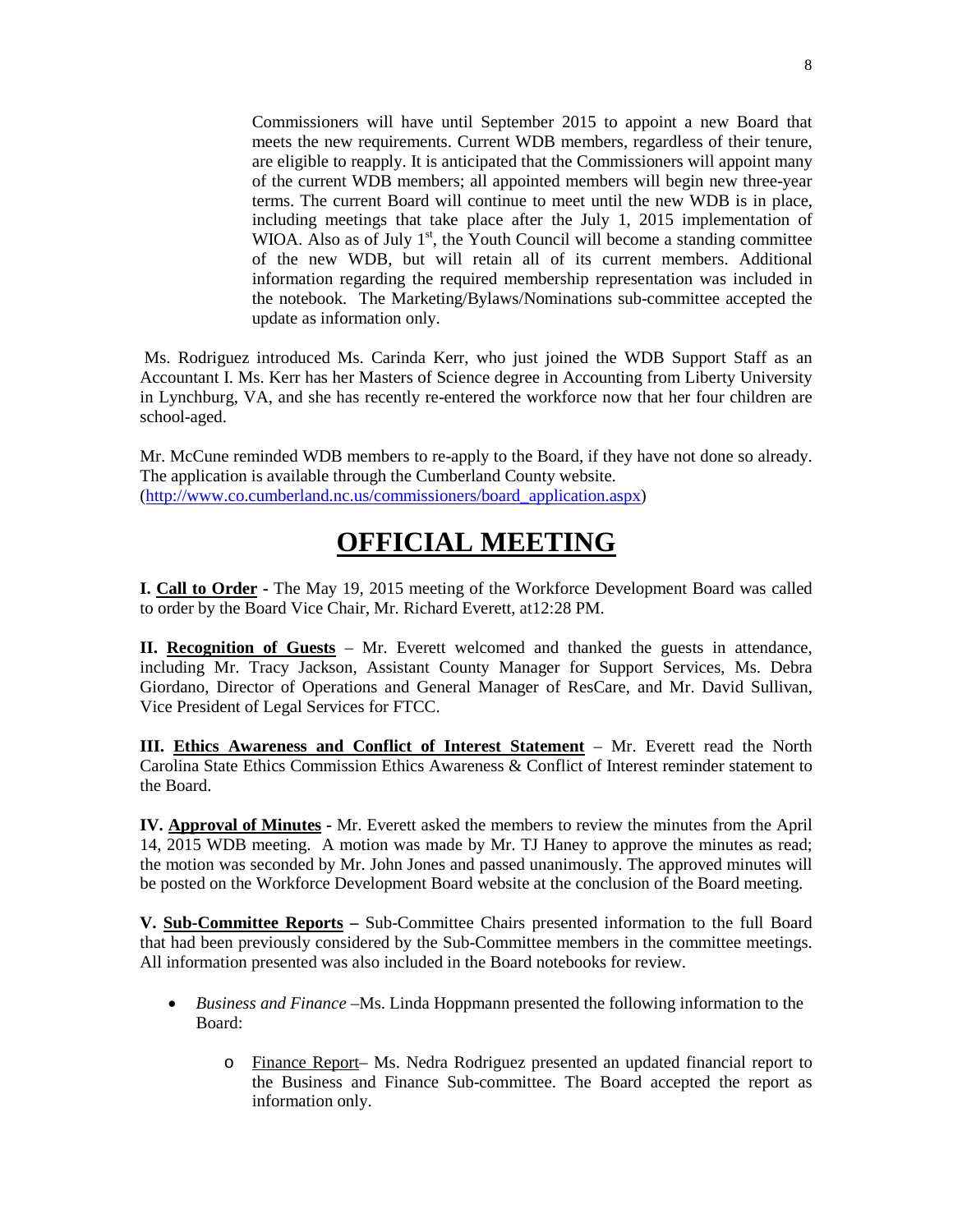Commissioners will have until September 2015 to appoint a new Board that meets the new requirements. Current WDB members, regardless of their tenure, are eligible to reapply. It is anticipated that the Commissioners will appoint many of the current WDB members; all appointed members will begin new three-year terms. The current Board will continue to meet until the new WDB is in place, including meetings that take place after the July 1, 2015 implementation of WIOA. Also as of July  $1<sup>st</sup>$ , the Youth Council will become a standing committee of the new WDB, but will retain all of its current members. Additional information regarding the required membership representation was included in the notebook. The Marketing/Bylaws/Nominations sub-committee accepted the update as information only.

Ms. Rodriguez introduced Ms. Carinda Kerr, who just joined the WDB Support Staff as an Accountant I. Ms. Kerr has her Masters of Science degree in Accounting from Liberty University in Lynchburg, VA, and she has recently re-entered the workforce now that her four children are school-aged.

Mr. McCune reminded WDB members to re-apply to the Board, if they have not done so already. The application is available through the Cumberland County website. [\(http://www.co.cumberland.nc.us/commissioners/board\\_application.aspx\)](http://www.co.cumberland.nc.us/commissioners/board_application.aspx)

## **OFFICIAL MEETING**

**I. Call to Order -** The May 19, 2015 meeting of the Workforce Development Board was called to order by the Board Vice Chair, Mr. Richard Everett, at12:28 PM.

**II. Recognition of Guests** – Mr. Everett welcomed and thanked the guests in attendance, including Mr. Tracy Jackson, Assistant County Manager for Support Services, Ms. Debra Giordano, Director of Operations and General Manager of ResCare, and Mr. David Sullivan, Vice President of Legal Services for FTCC.

**III. Ethics Awareness and Conflict of Interest Statement** – Mr. Everett read the North Carolina State Ethics Commission Ethics Awareness & Conflict of Interest reminder statement to the Board.

**IV. Approval of Minutes -** Mr. Everett asked the members to review the minutes from the April 14, 2015 WDB meeting. A motion was made by Mr. TJ Haney to approve the minutes as read; the motion was seconded by Mr. John Jones and passed unanimously. The approved minutes will be posted on the Workforce Development Board website at the conclusion of the Board meeting.

**V. Sub-Committee Reports –** Sub-Committee Chairs presented information to the full Board that had been previously considered by the Sub-Committee members in the committee meetings. All information presented was also included in the Board notebooks for review.

- *Business and Finance –*Ms. Linda Hoppmann presented the following information to the Board:
	- o Finance Report– Ms. Nedra Rodriguez presented an updated financial report to the Business and Finance Sub-committee. The Board accepted the report as information only.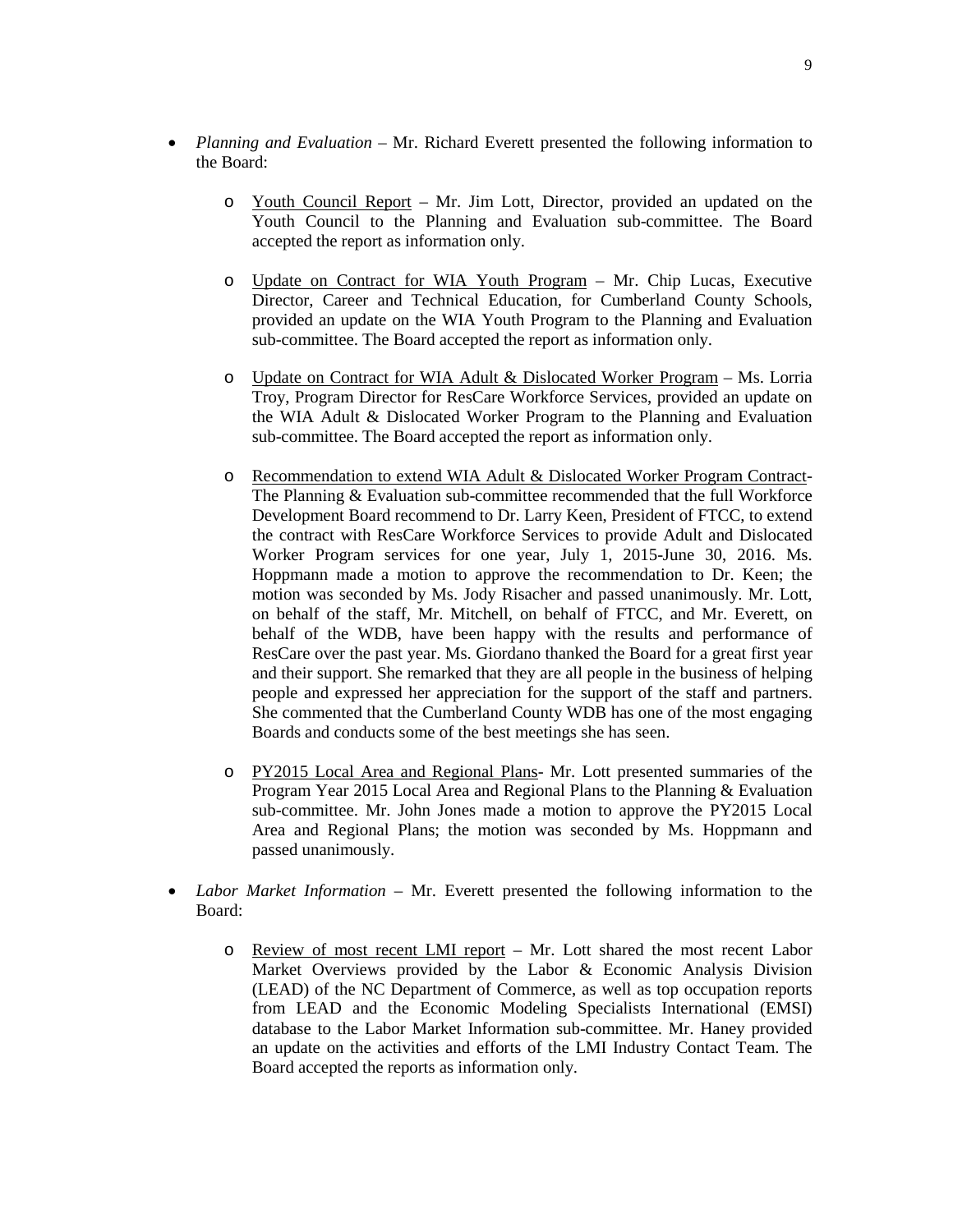- *Planning and Evaluation* Mr. Richard Everett presented the following information to the Board:
	- $\circ$  Youth Council Report Mr. Jim Lott, Director, provided an updated on the Youth Council to the Planning and Evaluation sub-committee. The Board accepted the report as information only.
	- o Update on Contract for WIA Youth Program Mr. Chip Lucas, Executive Director, Career and Technical Education, for Cumberland County Schools, provided an update on the WIA Youth Program to the Planning and Evaluation sub-committee. The Board accepted the report as information only.
	- o Update on Contract for WIA Adult & Dislocated Worker Program Ms. Lorria Troy, Program Director for ResCare Workforce Services, provided an update on the WIA Adult & Dislocated Worker Program to the Planning and Evaluation sub-committee. The Board accepted the report as information only.
	- o Recommendation to extend WIA Adult & Dislocated Worker Program Contract-The Planning & Evaluation sub-committee recommended that the full Workforce Development Board recommend to Dr. Larry Keen, President of FTCC, to extend the contract with ResCare Workforce Services to provide Adult and Dislocated Worker Program services for one year, July 1, 2015-June 30, 2016. Ms. Hoppmann made a motion to approve the recommendation to Dr. Keen; the motion was seconded by Ms. Jody Risacher and passed unanimously. Mr. Lott, on behalf of the staff, Mr. Mitchell, on behalf of FTCC, and Mr. Everett, on behalf of the WDB, have been happy with the results and performance of ResCare over the past year. Ms. Giordano thanked the Board for a great first year and their support. She remarked that they are all people in the business of helping people and expressed her appreciation for the support of the staff and partners. She commented that the Cumberland County WDB has one of the most engaging Boards and conducts some of the best meetings she has seen.
	- o PY2015 Local Area and Regional Plans- Mr. Lott presented summaries of the Program Year 2015 Local Area and Regional Plans to the Planning & Evaluation sub-committee. Mr. John Jones made a motion to approve the PY2015 Local Area and Regional Plans; the motion was seconded by Ms. Hoppmann and passed unanimously.
- *Labor Market Information* Mr. Everett presented the following information to the Board:
	- o Review of most recent LMI report Mr. Lott shared the most recent Labor Market Overviews provided by the Labor & Economic Analysis Division (LEAD) of the NC Department of Commerce, as well as top occupation reports from LEAD and the Economic Modeling Specialists International (EMSI) database to the Labor Market Information sub-committee. Mr. Haney provided an update on the activities and efforts of the LMI Industry Contact Team. The Board accepted the reports as information only.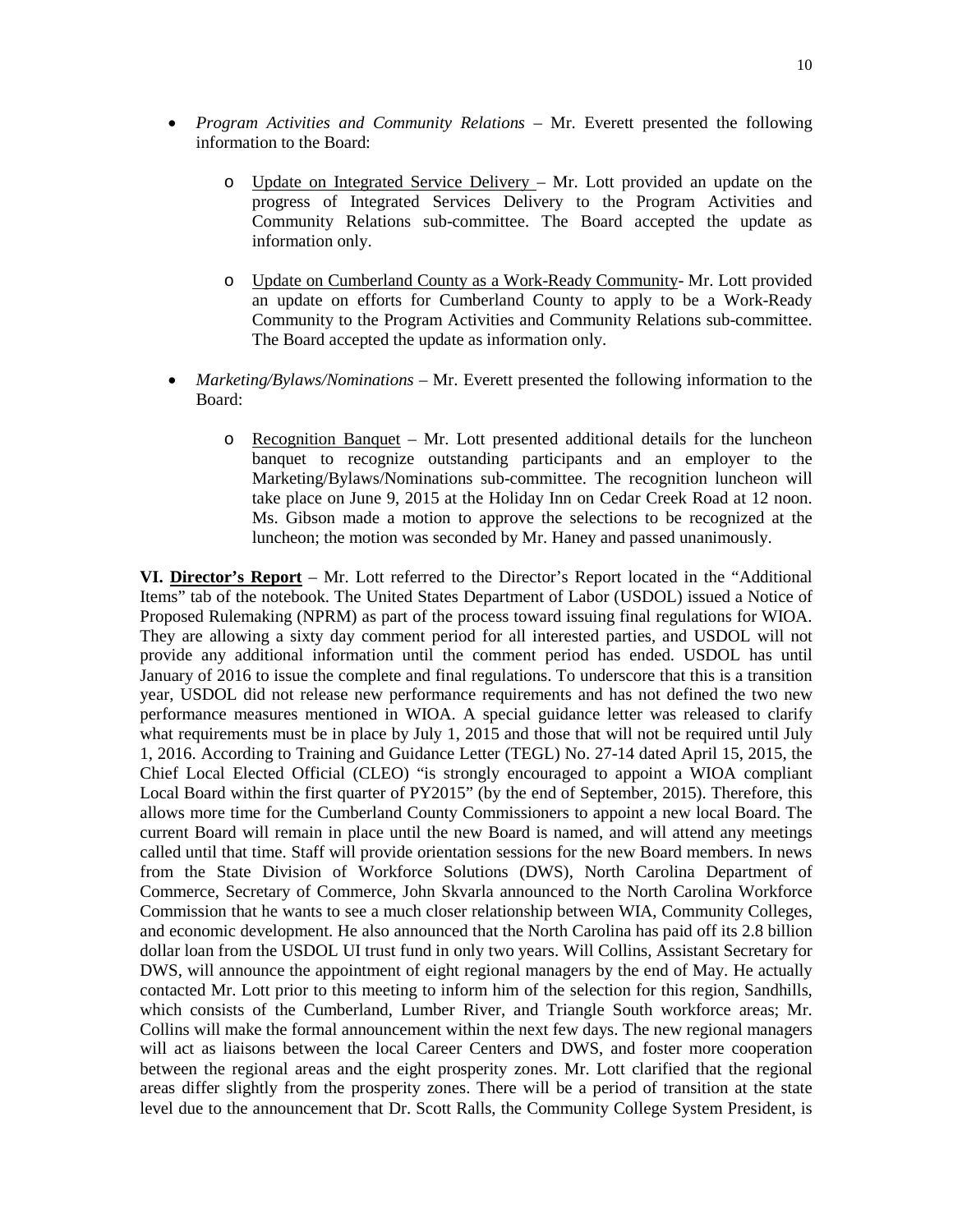- *Program Activities and Community Relations –* Mr. Everett presented the following information to the Board:
	- o Update on Integrated Service Delivery Mr. Lott provided an update on the progress of Integrated Services Delivery to the Program Activities and Community Relations sub-committee. The Board accepted the update as information only.
	- o Update on Cumberland County as a Work-Ready Community- Mr. Lott provided an update on efforts for Cumberland County to apply to be a Work-Ready Community to the Program Activities and Community Relations sub-committee. The Board accepted the update as information only.
- *Marketing/Bylaws/Nominations* Mr. Everett presented the following information to the Board:
	- o Recognition Banquet Mr. Lott presented additional details for the luncheon banquet to recognize outstanding participants and an employer to the Marketing/Bylaws/Nominations sub-committee. The recognition luncheon will take place on June 9, 2015 at the Holiday Inn on Cedar Creek Road at 12 noon. Ms. Gibson made a motion to approve the selections to be recognized at the luncheon; the motion was seconded by Mr. Haney and passed unanimously.

**VI. Director's Report** – Mr. Lott referred to the Director's Report located in the "Additional Items" tab of the notebook. The United States Department of Labor (USDOL) issued a Notice of Proposed Rulemaking (NPRM) as part of the process toward issuing final regulations for WIOA. They are allowing a sixty day comment period for all interested parties, and USDOL will not provide any additional information until the comment period has ended. USDOL has until January of 2016 to issue the complete and final regulations. To underscore that this is a transition year, USDOL did not release new performance requirements and has not defined the two new performance measures mentioned in WIOA. A special guidance letter was released to clarify what requirements must be in place by July 1, 2015 and those that will not be required until July 1, 2016. According to Training and Guidance Letter (TEGL) No. 27-14 dated April 15, 2015, the Chief Local Elected Official (CLEO) "is strongly encouraged to appoint a WIOA compliant Local Board within the first quarter of PY2015" (by the end of September, 2015). Therefore, this allows more time for the Cumberland County Commissioners to appoint a new local Board. The current Board will remain in place until the new Board is named, and will attend any meetings called until that time. Staff will provide orientation sessions for the new Board members. In news from the State Division of Workforce Solutions (DWS), North Carolina Department of Commerce, Secretary of Commerce, John Skvarla announced to the North Carolina Workforce Commission that he wants to see a much closer relationship between WIA, Community Colleges, and economic development. He also announced that the North Carolina has paid off its 2.8 billion dollar loan from the USDOL UI trust fund in only two years. Will Collins, Assistant Secretary for DWS, will announce the appointment of eight regional managers by the end of May. He actually contacted Mr. Lott prior to this meeting to inform him of the selection for this region, Sandhills, which consists of the Cumberland, Lumber River, and Triangle South workforce areas; Mr. Collins will make the formal announcement within the next few days. The new regional managers will act as liaisons between the local Career Centers and DWS, and foster more cooperation between the regional areas and the eight prosperity zones. Mr. Lott clarified that the regional areas differ slightly from the prosperity zones. There will be a period of transition at the state level due to the announcement that Dr. Scott Ralls, the Community College System President, is